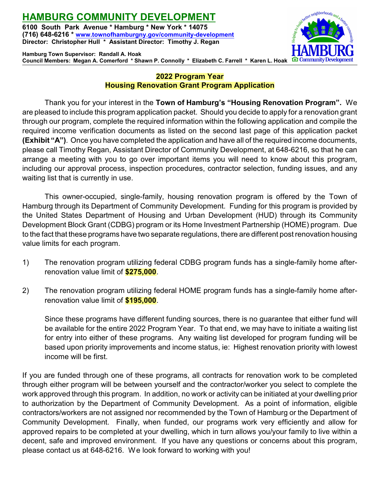# **HAMBURG COMMUNITY DEVELOPMENT 6100 South Park Avenue \* Hamburg \* New York \* 14075**

**(716) 648-6216 \* [www.townofhamburgny.gov/community-development](http://www.townofhamburgny.com/cdbg) Director: Christopher Hull \* Assistant Director: Timothy J. Regan**

**Hamburg Town Supervisor: Randall A. Hoak Council Members: Megan A. Comerford \* Shawn P. Connolly \* Elizabeth C. Farrell \* Karen L. Hoak**



## **2022 Program Year Housing Renovation Grant Program Application**

Thank you for your interest in the **Town of Hamburg's "Housing Renovation Program".** We are pleased to include this program application packet. Should you decide to apply for a renovation grant through our program, complete the required information within the following application and compile the required income verification documents as listed on the second last page of this application packet **(Exhibit "A")**. Once you have completed the application and have all of the required income documents, please call Timothy Regan, Assistant Director of Community Development, at 648-6216, so that he can arrange a meeting with you to go over important items you will need to know about this program, including our approval process, inspection procedures, contractor selection, funding issues, and any waiting list that is currently in use.

This owner-occupied, single-family, housing renovation program is offered by the Town of Hamburg through its Department of Community Development. Funding for this program is provided by the United States Department of Housing and Urban Development (HUD) through its Community Development Block Grant (CDBG) program or its Home Investment Partnership (HOME) program. Due to the fact that these programs have two separate regulations, there are different post renovation housing value limits for each program.

- 1) The renovation program utilizing federal CDBG program funds has a single-family home afterrenovation value limit of **\$275,000**.
- 2) The renovation program utilizing federal HOME program funds has a single-family home afterrenovation value limit of **\$195,000**.

Since these programs have different funding sources, there is no guarantee that either fund will be available for the entire 2022 Program Year. To that end, we may have to initiate a waiting list for entry into either of these programs. Any waiting list developed for program funding will be based upon priority improvements and income status, ie: Highest renovation priority with lowest income will be first.

If you are funded through one of these programs, all contracts for renovation work to be completed through either program will be between yourself and the contractor/worker you select to complete the work approved through this program. In addition, no work or activity can be initiated at your dwelling prior to authorization by the Department of Community Development. As a point of information, eligible contractors/workers are not assigned nor recommended by the Town of Hamburg or the Department of Community Development. Finally, when funded, our programs work very efficiently and allow for approved repairs to be completed at your dwelling, which in turn allows you/your family to live within a decent, safe and improved environment. If you have any questions or concerns about this program, please contact us at 648-6216. We look forward to working with you!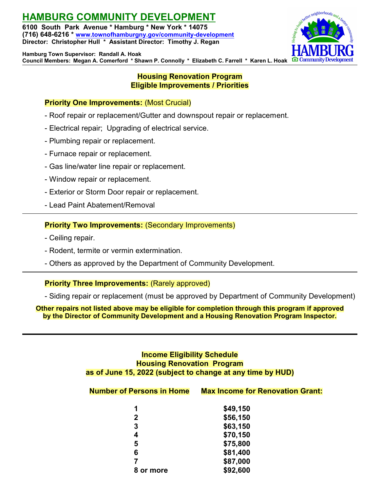# **HAMBURG COMMUNITY DEVELOPMENT**

**6100 South Park Avenue \* Hamburg \* New York \* 14075 (716) 648-6216 \* [www.townofhamburgny.gov/community-development](http://www.townofhamburgny.com/cdbg) Director: Christopher Hull \* Assistant Director: Timothy J. Regan**



**Hamburg Town Supervisor: Randall A. Hoak Council Members: Megan A. Comerford \* Shawn P. Connolly \* Elizabeth C. Farrell \* Karen L. Hoak**

### **Housing Renovation Program Eligible Improvements / Priorities**

## **Priority One Improvements:** (Most Crucial)

- Roof repair or replacement/Gutter and downspout repair or replacement.
- Electrical repair; Upgrading of electrical service.
- Plumbing repair or replacement.
- Furnace repair or replacement.
- Gas line/water line repair or replacement.
- Window repair or replacement.
- Exterior or Storm Door repair or replacement.
- Lead Paint Abatement/Removal

### **Priority Two Improvements:** (Secondary Improvements)

- Ceiling repair.
- Rodent, termite or vermin extermination.
- Others as approved by the Department of Community Development.

#### **Priority Three Improvements:** (Rarely approved)

- Siding repair or replacement (must be approved by Department of Community Development)

**Other repairs not listed above may be eligible for completion through this program if approved by the Director of Community Development and a Housing Renovation Program Inspector.**

### **Income Eligibility Schedule Housing Renovation Program as of June 15, 2022 (subject to change at any time by HUD)**

| <b>Number of Persons in Home</b> | <b>Max Income for Renovation Grant:</b>                                                                   |
|----------------------------------|-----------------------------------------------------------------------------------------------------------|
|                                  | \$49,150                                                                                                  |
|                                  | \$56,150                                                                                                  |
| -                                | $\begin{array}{ccc}\n & \bullet & \bullet & \bullet & \bullet & \bullet & \bullet & \bullet\n\end{array}$ |

| \$63,150 |
|----------|
| \$70,150 |
| \$75,800 |
| \$81,400 |
| \$87,000 |
| \$92,600 |
|          |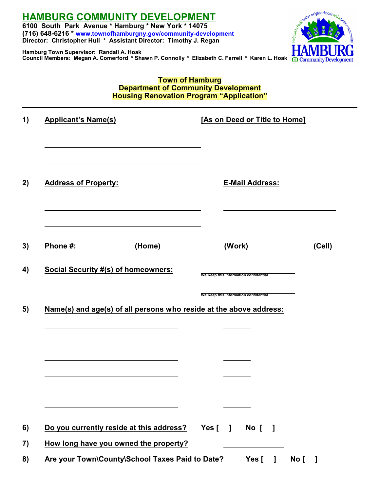



### **Town of Hamburg Department of Community Development Housing Renovation Program "Application"**

| 1) | <b>Applicant's Name(s)</b>                                         |           |        | [As on Deed or Title to Home]         |                |      |        |
|----|--------------------------------------------------------------------|-----------|--------|---------------------------------------|----------------|------|--------|
| 2) | <b>Address of Property:</b>                                        |           |        | <b>E-Mail Address:</b>                |                |      |        |
| 3) | Phone #:<br>(Home)                                                 |           | (Work) |                                       |                |      | (Cell) |
| 4) | <b>Social Security #(s) of homeowners:</b>                         |           |        | We Keep this information confidential |                |      |        |
| 5) | Name(s) and age(s) of all persons who reside at the above address: |           |        | We Keep this information confidential |                |      |        |
|    |                                                                    |           |        |                                       |                |      |        |
|    |                                                                    |           |        |                                       |                |      |        |
|    |                                                                    |           |        |                                       |                |      |        |
|    |                                                                    |           |        |                                       |                |      |        |
| 6) | Do you currently reside at this address?                           | Yes $[$ ] |        | No [                                  | $\blacksquare$ |      |        |
| 7) | How long have you owned the property?                              |           |        |                                       |                |      |        |
| 8) | Are your Town\County\School Taxes Paid to Date?                    |           |        | Yes [                                 | $\mathbf{1}$   | No [ | -1     |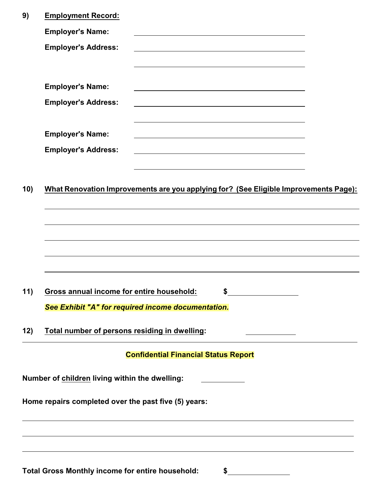|     | <b>Total Gross Monthly income for entire household:</b>                              |                                             | \$                                                                                                                     |  |
|-----|--------------------------------------------------------------------------------------|---------------------------------------------|------------------------------------------------------------------------------------------------------------------------|--|
|     |                                                                                      |                                             |                                                                                                                        |  |
|     | Home repairs completed over the past five (5) years:                                 |                                             |                                                                                                                        |  |
|     | Number of children living within the dwelling:                                       |                                             |                                                                                                                        |  |
|     |                                                                                      | <b>Confidential Financial Status Report</b> |                                                                                                                        |  |
| 12) | Total number of persons residing in dwelling:                                        |                                             |                                                                                                                        |  |
|     | See Exhibit "A" for required income documentation.                                   |                                             |                                                                                                                        |  |
| 11) | Gross annual income for entire household:                                            |                                             | Φ                                                                                                                      |  |
|     |                                                                                      |                                             |                                                                                                                        |  |
|     |                                                                                      |                                             |                                                                                                                        |  |
|     |                                                                                      |                                             |                                                                                                                        |  |
| 10) | What Renovation Improvements are you applying for? (See Eligible Improvements Page): |                                             |                                                                                                                        |  |
|     |                                                                                      |                                             | <u> 1989 - Johann Barn, amerikansk politiker (d. 1989)</u>                                                             |  |
|     | <b>Employer's Name:</b><br><b>Employer's Address:</b>                                |                                             |                                                                                                                        |  |
|     |                                                                                      |                                             | <u> 1989 - Johann Stoff, deutscher Stoffen und der Stoffen und der Stoffen und der Stoffen und der Stoffen und der</u> |  |
|     | <b>Employer's Address:</b>                                                           |                                             | <u> 1989 - Johann Barn, mars ann an t-Amhain an t-Amhain ann an t-Amhain an t-Amhain an t-Amhain an t-Amhain ann </u>  |  |
|     | <b>Employer's Name:</b>                                                              |                                             |                                                                                                                        |  |
|     | <b>Employer's Address:</b>                                                           |                                             |                                                                                                                        |  |
|     | <b>Employer's Name:</b>                                                              |                                             |                                                                                                                        |  |
| 9)  | <b>Employment Record:</b>                                                            |                                             |                                                                                                                        |  |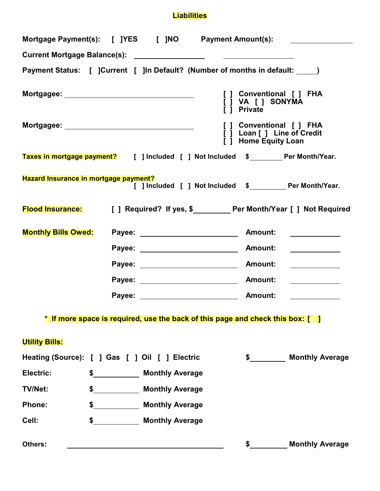# **Liabilities**

| Payment Status: [ ]Current [ ]In Default? (Number of months in default: _____) |                                                                               |                                    |                                                                                        |                                                                              |
|--------------------------------------------------------------------------------|-------------------------------------------------------------------------------|------------------------------------|----------------------------------------------------------------------------------------|------------------------------------------------------------------------------|
| Mortgagee: __________________________________                                  |                                                                               |                                    | [ ] Conventional [ ] FHA<br>[ ] VA [ ] SONYMA<br>[ ] Private                           |                                                                              |
| Mortgagee: __________________________________                                  |                                                                               |                                    | [ ] Conventional [ ] FHA<br>[ ] Loan [ ] Line of Credit<br><b>i</b> 1 Home Equity Loan |                                                                              |
| Taxes in mortgage payment? [ ] Included [ ] Not Included \$ Per Month/Year.    |                                                                               |                                    |                                                                                        |                                                                              |
| Hazard Insurance in mortgage payment?                                          |                                                                               |                                    |                                                                                        | [ ] Included [ ] Not Included \$_________ Per Month/Year.                    |
|                                                                                |                                                                               |                                    |                                                                                        | Flood Insurance: [ ] Required? If yes, \$<br>Der Month/Year [ ] Not Required |
| <b>Monthly Bills Owed:</b>                                                     |                                                                               |                                    |                                                                                        |                                                                              |
|                                                                                |                                                                               | Payee: ___________________________ | <b>Amount:</b>                                                                         | <u> 1980 - Johann Barbara, martin a</u>                                      |
|                                                                                |                                                                               | Payee: __________________________  | <b>Amount:</b>                                                                         | <u> 1990 - Johann Barbara, martin a</u>                                      |
|                                                                                |                                                                               |                                    |                                                                                        | <u> 1990 - Andrea Stationer, amerikansk politiker (</u>                      |
|                                                                                |                                                                               |                                    |                                                                                        |                                                                              |
|                                                                                | * If more space is required, use the back of this page and check this box: [] |                                    |                                                                                        |                                                                              |
| <b>Utility Bills:</b>                                                          |                                                                               |                                    |                                                                                        |                                                                              |
| Heating (Source): [ ] Gas [ ] Oil [ ] Electric                                 |                                                                               |                                    | $\sim$                                                                                 | <b>Monthly Average</b>                                                       |
| Electric:                                                                      | \$ Monthly Average                                                            |                                    |                                                                                        |                                                                              |
| <b>TV/Net:</b>                                                                 | \$ Monthly Average                                                            |                                    |                                                                                        |                                                                              |
| <b>Phone:</b>                                                                  | \$ Monthly Average                                                            |                                    |                                                                                        |                                                                              |
| Cell:                                                                          | \$ Monthly Average                                                            |                                    |                                                                                        |                                                                              |
| Others:                                                                        |                                                                               |                                    |                                                                                        | <b>Monthly Average</b>                                                       |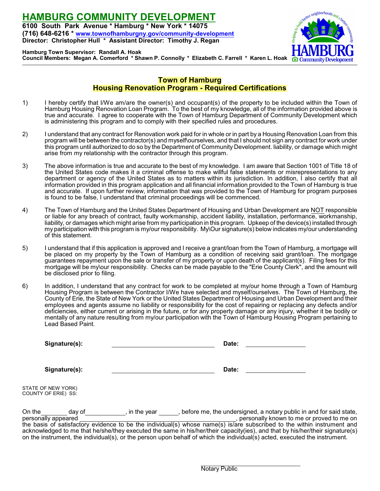

**Hamburg Town Supervisor: Randall A. Hoak Council Members: Megan A. Comerford \* Shawn P. Connolly \* Elizabeth C. Farrell \* Karen L. Hoak**

### **Town of Hamburg Housing Renovation Program - Required Certifications**

- 1) I hereby certify that I/We am/are the owner(s) and occupant(s) of the property to be included within the Town of Hamburg Housing Renovation Loan Program. To the best of my knowledge, all of the information provided above is true and accurate. I agree to cooperate with the Town of Hamburg Department of Community Development which is administering this program and to comply with their specified rules and procedures.
- 2) I understand that any contract for Renovation work paid for in whole or in part by a Housing Renovation Loan from this program will be between the contractor(s) and myself\ourselves, and that I should not sign any contract for work under this program until authorized to do so by the Department of Community Development. liability, or damage which might arise from my relationship with the contractor through this program.
- 3) The above information is true and accurate to the best of my knowledge. I am aware that Section 1001 of Title 18 of the United States code makes it a criminal offense to make willful false statements or misrepresentations to any department or agency of the United States as to matters within its jurisdiction. In addition, I also certify that all information provided in this program application and all financial information provided to the Town of Hamburg is true and accurate. If upon further review, information that was provided to the Town of Hamburg for program purposes is found to be false, I understand that criminal proceedings will be commenced.
- 4) The Town of Hamburg and the United States Department of Housing and Urban Development are NOT responsible or liable for any breach of contract, faulty workmanship, accident liability, installation, performance, workmanship, liability, or damages which might arise from my participation in this program. Upkeep of the device(s) installed through my participation with this program is my/our responsibility. My\Our signature(s) below indicates my/our understanding of this statement.
- 5) I understand that if this application is approved and I receive a grant/loan from the Town of Hamburg, a mortgage will be placed on my property by the Town of Hamburg as a condition of receiving said grant/loan. The mortgage guarantees repayment upon the sale or transfer of my property or upon death of the applicant(s). Filing fees for this mortgage will be my\our responsibility. Checks can be made payable to the "Erie County Clerk", and the amount will be disclosed prior to filing.
- 6) In addition, I understand that any contract for work to be completed at my/our home through a Town of Hamburg Housing Program is between the Contractor I/We have selected and myself/ourselves. The Town of Hamburg, the County of Erie, the State of New York or the United States Department of Housing and Urban Development and their employees and agents assume no liability or responsibility for the cost of repairing or replacing any defects and/or deficiencies, either current or arising in the future, or for any property damage or any injury, whether it be bodily or mentally of any nature resulting from my/our participation with the Town of Hamburg Housing Program pertaining to Lead Based Paint.

|                                           | Signature(s): | Date:                                                                                                                                                                                                                                                                                                                                                                                                                                                                                                                    |  |
|-------------------------------------------|---------------|--------------------------------------------------------------------------------------------------------------------------------------------------------------------------------------------------------------------------------------------------------------------------------------------------------------------------------------------------------------------------------------------------------------------------------------------------------------------------------------------------------------------------|--|
|                                           | Signature(s): | Date:                                                                                                                                                                                                                                                                                                                                                                                                                                                                                                                    |  |
| STATE OF NEW YORK)<br>COUNTY OF ERIE) SS: |               |                                                                                                                                                                                                                                                                                                                                                                                                                                                                                                                          |  |
| On the<br>personally appeared             | day of $\_\_$ | , in the year before me, the undersigned, a notary public in and for said state,<br>, personally known to me or proved to me on<br>the basis of satisfactory evidence to be the individual(s) whose name(s) is/are subscribed to the within instrument and<br>acknowledged to me that he/she/they executed the same in his/her/their capacity(ies), and that by his/her/their signature(s)<br>on the instrument, the individual(s), or the person upon behalf of which the individual(s) acted, executed the instrument. |  |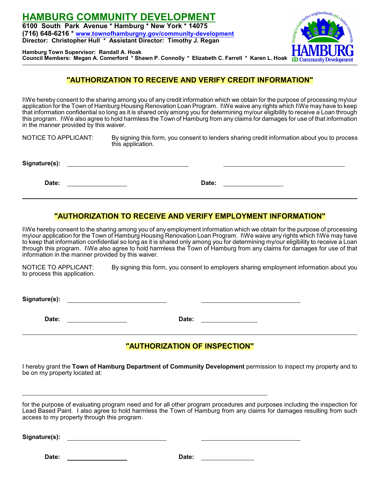

**Hamburg Town Supervisor: Randall A. Hoak Council Members: Megan A. Comerford \* Shawn P. Connolly \* Elizabeth C. Farrell \* Karen L. Hoak**

### **"AUTHORIZATION TO RECEIVE AND VERIFY CREDIT INFORMATION"**

I\We hereby consent to the sharing among you of any credit information which we obtain for the purpose of processing my\our application for the Town of Hamburg Housing Renovation Loan Program. I\We waive any rights which I\We may have to keep that information confidential so long as it is shared only among you for determining my/our eligibility to receive a Loan through this program. I\We also agree to hold harmless the Town of Hamburg from any claims for damages for use of that information in the manner provided by this waiver.

NOTICE TO APPLICANT: By signing this form, you consent to lenders sharing credit information about you to process this application.

**Signature(s):** 

**Date: Date:** 

### **"AUTHORIZATION TO RECEIVE AND VERIFY EMPLOYMENT INFORMATION"**

I\We hereby consent to the sharing among you of any employment information which we obtain for the purpose of processing my\our application for the Town of Hamburg Housing Renovation Loan Program. I\We waive any rights which I\We may have to keep that information confidential so long as it is shared only among you for determining my/our eligibility to receive a Loan through this program. I\We also agree to hold harmless the Town of Hamburg from any claims for damages for use of that information in the manner provided by this waiver.

NOTICE TO APPLICANT: By signing this form, you consent to employers sharing employment information about you to process this application.

**Signature(s):** 

Date: 2008. **Date: 2008.** Date: 2008. **Date: 2008.** Date: 2008. 2008. 2009. 2012. 2013. 2014. 2016. 2017. 2018. 2019. 2019. 2019. 2019. 2019. 2019. 2019. 2019. 2019. 2019. 2019. 2019. 2019. 2019. 2019. 2019. 2019. 2019. 20

# **"AUTHORIZATION OF INSPECTION"**

I hereby grant the **Town of Hamburg Department of Community Development** permission to inspect my property and to be on my property located at:

for the purpose of evaluating program need and for all other program procedures and purposes including the inspection for Lead Based Paint. I also agree to hold harmless the Town of Hamburg from any claims for damages resulting from such access to my property through this program.

**Signature(s):** 

**Date: Date:**